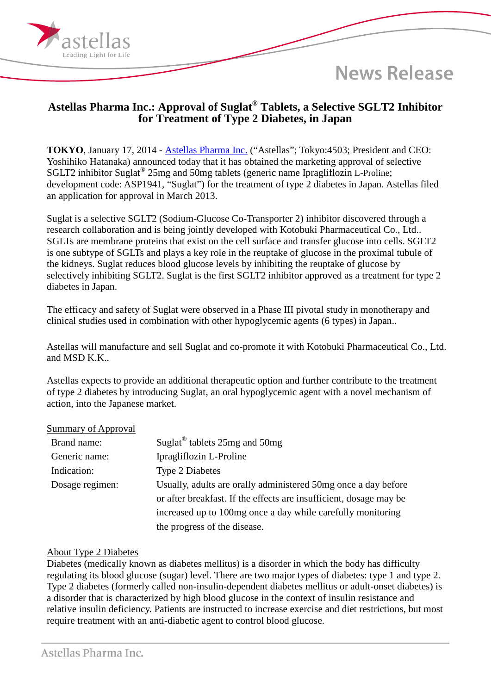**News Release** 

## **Astellas Pharma Inc.: Approval of Suglat® Tablets, a Selective SGLT2 Inhibitor for Treatment of Type 2 Diabetes, in Japan**

**TOKYO**, January 17, 2014 - [Astellas Pharma Inc.](http://www.astellas.com/en/corporate/) ("Astellas"; Tokyo:4503; President and CEO: Yoshihiko Hatanaka) announced today that it has obtained the marketing approval of selective SGLT2 inhibitor Suglat® 25mg and 50mg tablets (generic name Ipragliflozin L-Proline; development code: ASP1941, "Suglat") for the treatment of type 2 diabetes in Japan. Astellas filed an application for approval in March 2013.

Suglat is a selective SGLT2 (Sodium-Glucose Co-Transporter 2) inhibitor discovered through a research collaboration and is being jointly developed with Kotobuki Pharmaceutical Co., Ltd.. SGLTs are membrane proteins that exist on the cell surface and transfer glucose into cells. SGLT2 is one subtype of SGLTs and plays a key role in the reuptake of glucose in the proximal tubule of the kidneys. Suglat reduces blood glucose levels by inhibiting the reuptake of glucose by selectively inhibiting SGLT2. Suglat is the first SGLT2 inhibitor approved as a treatment for type 2 diabetes in Japan.

The efficacy and safety of Suglat were observed in a Phase III pivotal study in monotherapy and clinical studies used in combination with other hypoglycemic agents (6 types) in Japan..

Astellas will manufacture and sell Suglat and co-promote it with Kotobuki Pharmaceutical Co., Ltd. and MSD K.K..

Astellas expects to provide an additional therapeutic option and further contribute to the treatment of type 2 diabetes by introducing Suglat, an oral hypoglycemic agent with a novel mechanism of action, into the Japanese market.

## Summary of Approval

ading Light for Life

| Brand name:     | Suglat <sup>®</sup> tablets 25mg and 50mg                          |
|-----------------|--------------------------------------------------------------------|
| Generic name:   | Ipragliflozin L-Proline                                            |
| Indication:     | <b>Type 2 Diabetes</b>                                             |
| Dosage regimen: | Usually, adults are orally administered 50mg once a day before     |
|                 | or after breakfast. If the effects are insufficient, dosage may be |
|                 | increased up to 100mg once a day while carefully monitoring        |
|                 | the progress of the disease.                                       |

## About Type 2 Diabetes

Diabetes (medically known as diabetes mellitus) is a disorder in which the body has difficulty regulating its blood glucose (sugar) level. There are two major types of diabetes: type 1 and type 2. Type 2 diabetes (formerly called non-insulin-dependent diabetes mellitus or adult-onset diabetes) is a disorder that is characterized by high blood glucose in the context of insulin resistance and relative insulin deficiency. Patients are instructed to increase exercise and diet restrictions, but most require treatment with an anti-diabetic agent to control blood glucose.